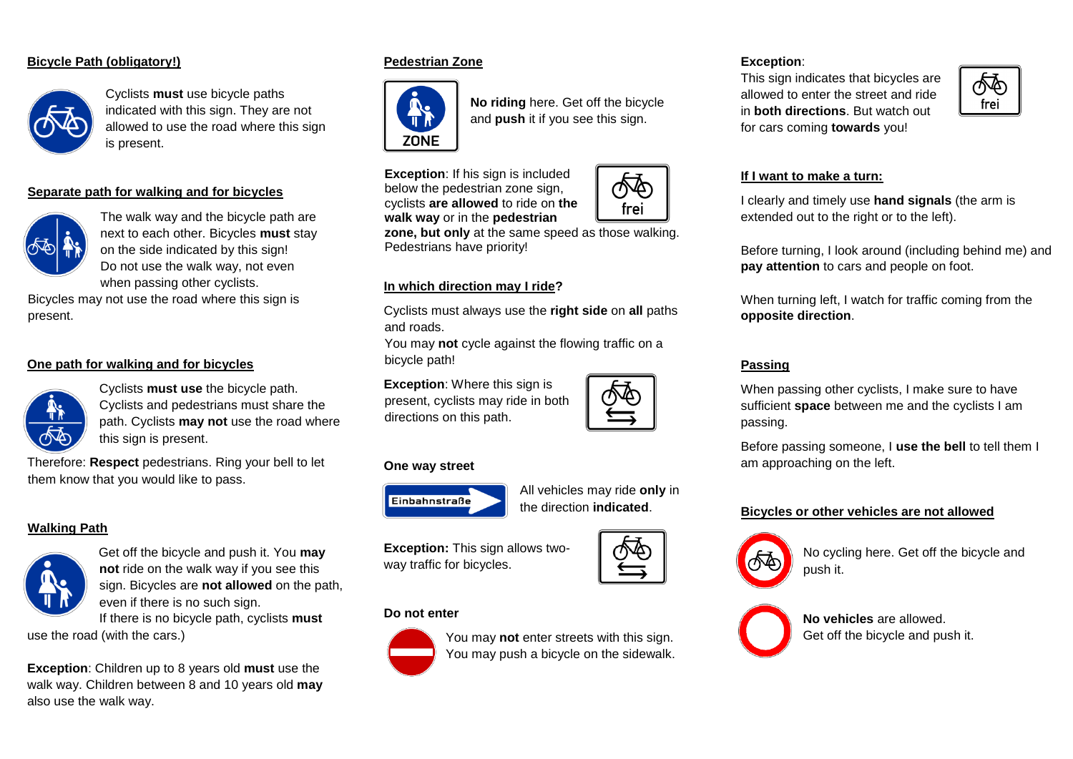## **Bicycle Path (obligatory!)**



Cyclists **must** use bicycle paths indicated with this sign. They are not allowed to use the road where this sign is present.

## **Separate path for walking and for bicycles**



The walk way and the bicycle path are next to each other. Bicycles **must** stay on the side indicated by this sign! Do not use the walk way, not even when passing other cyclists.

Bicycles may not use the road where this sign is present.

#### **One path for walking and for bicycles**



Cyclists **must use** the bicycle path. Cyclists and pedestrians must share the path. Cyclists **may not** use the road where this sign is present.

Therefore: **Respect** pedestrians. Ring your bell to let them know that you would like to pass.

# **Walking Path**



Get off the bicycle and push it. You **may not** ride on the walk way if you see this sign. Bicycles are **not allowed** on the path, even if there is no such sign.

If there is no bicycle path, cyclists **must** use the road (with the cars.)

**Exception**: Children up to 8 years old **must** use the walk way. Children between 8 and 10 years old **may** also use the walk way.

## **Pedestrian Zone**



**No riding** here. Get off the bicycle and **push** it if you see this sign.

**Exception:** If his sign is included below the pedestrian zone sign, cyclists **are allowed** to ride on **the walk way** or in the **pedestrian** 

**zone, but only** at the same speed as those walking. Pedestrians have priority!

## **In which direction may I ride?**

Cyclists must always use the **right side** on **all** paths and roads.

You may **not** cycle against the flowing traffic on a bicycle path!

**Exception**: Where this sign is present, cyclists may ride in both directions on this path.

#### **One way street**



All vehicles may ride **only** in the direction **indicated**.

**Exception:** This sign allows twoway traffic for bicycles.

#### **Do not enter**



You may **not** enter streets with this sign. You may push a bicycle on the sidewalk.

# **Exception**:

This sign indicates that bicycles are allowed to enter the street and ride in **both directions**. But watch out for cars coming **towards** you!



## **If I want to make a turn:**

I clearly and timely use **hand signals** (the arm is extended out to the right or to the left).

Before turning, I look around (including behind me) and **pay attention** to cars and people on foot.

When turning left, I watch for traffic coming from the **opposite direction**.

#### **Passing**

When passing other cyclists, I make sure to have sufficient **space** between me and the cyclists I am passing.

Before passing someone, I **use the bell** to tell them I am approaching on the left.

#### **Bicycles or other vehicles are not allowed**



No cycling here. Get off the bicycle and push it.



**No vehicles** are allowed. Get off the bicycle and push it.